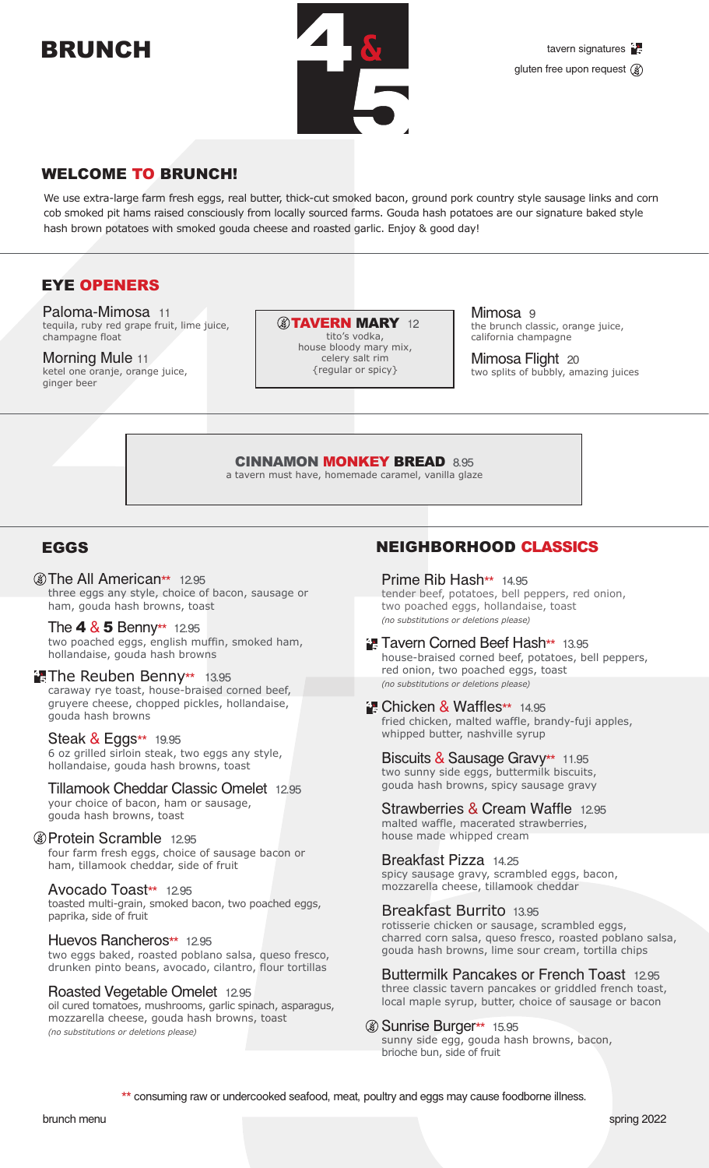# BRUNCH



# WELCOME TO BRUNCH!

We use extra-large farm fresh eggs, real butter, thick-cut smoked bacon, ground pork country style sausage links and corn cob smoked pit hams raised consciously from locally sourced farms. Gouda hash potatoes are our signature baked style hash brown potatoes with smoked gouda cheese and roasted garlic. Enjoy & good day!

# EYE OPENERS

Paloma-Mimosa 11 tequila, ruby red grape fruit, lime juice, champagne float

Morning Mule 11 ketel one oranje, orange juice, ginger beer

**@TAVERN MARY 12** tito's vodka,

house bloody mary mix, celery salt rim {regular or spicy}

Mimosa 9 the brunch classic, orange juice, california champagne

Mimosa Flight 20 two splits of bubbly, amazing juices

CINNAMON MONKEY BREAD 8.95

a tavern must have, homemade caramel, vanilla glaze

# EGGS

**@The All American\*\*** 12.95 three eggs any style, choice of bacon, sausage or ham, gouda hash browns, toast

The  $4 & 5$  Benny\*\* 12.95 two poached eggs, english muffin, smoked ham, hollandaise, gouda hash browns

#### **The Reuben Benny\*\*** 13.95 caraway rye toast, house-braised corned beef, gruyere cheese, chopped pickles, hollandaise, gouda hash browns

### Steak & Eggs\*\* 19.95

6 oz grilled sirloin steak, two eggs any style, hollandaise, gouda hash browns, toast

Tillamook Cheddar Classic Omelet 12.95 your choice of bacon, ham or sausage,

gouda hash browns, toast

#### Protein Scramble 12.95

four farm fresh eggs, choice of sausage bacon or ham, tillamook cheddar, side of fruit

#### Avocado Toast\*\* 12.95

toasted multi-grain, smoked bacon, two poached eggs, paprika, side of fruit

#### Huevos Rancheros\*\* 12.95

two eggs baked, roasted poblano salsa, queso fresco, drunken pinto beans, avocado, cilantro, flour tortillas

#### Roasted Vegetable Omelet 12.95

oil cured tomatoes, mushrooms, garlic spinach, asparagus, mozzarella cheese, gouda hash browns, toast *(no substitutions or deletions please)*

# NEIGHBORHOOD CLASSICS

Prime Rib Hash\*\* 14.95 tender beef, potatoes, bell peppers, red onion, two poached eggs, hollandaise, toast *(no substitutions or deletions please)*

**T. Tavern Corned Beef Hash\*\*** 13.95 house-braised corned beef, potatoes, bell peppers, red onion, two poached eggs, toast *(no substitutions or deletions please)*

#### **Chicken & Waffles\*\*** 14.95 fried chicken, malted waffle, brandy-fuji apples, whipped butter, nashville syrup

Biscuits & Sausage Gravy\*\* 11.95 two sunny side eggs, buttermilk biscuits, gouda hash browns, spicy sausage gravy

Strawberries & Cream Waffle 12.95 malted waffle, macerated strawberries, house made whipped cream

Breakfast Pizza 14.25 spicy sausage gravy, scrambled eggs, bacon, mozzarella cheese, tillamook cheddar

#### Breakfast Burrito 13.95

rotisserie chicken or sausage, scrambled eggs, charred corn salsa, queso fresco, roasted poblano salsa, gouda hash browns, lime sour cream, tortilla chips

Buttermilk Pancakes or French Toast 12.95 three classic tavern pancakes or griddled french toast, local maple syrup, butter, choice of sausage or bacon

#### Sunrise Burger\*\* 15.95

sunny side egg, gouda hash browns, bacon, brioche bun, side of fruit

\*\* consuming raw or undercooked seafood, meat, poultry and eggs may cause foodborne illness.